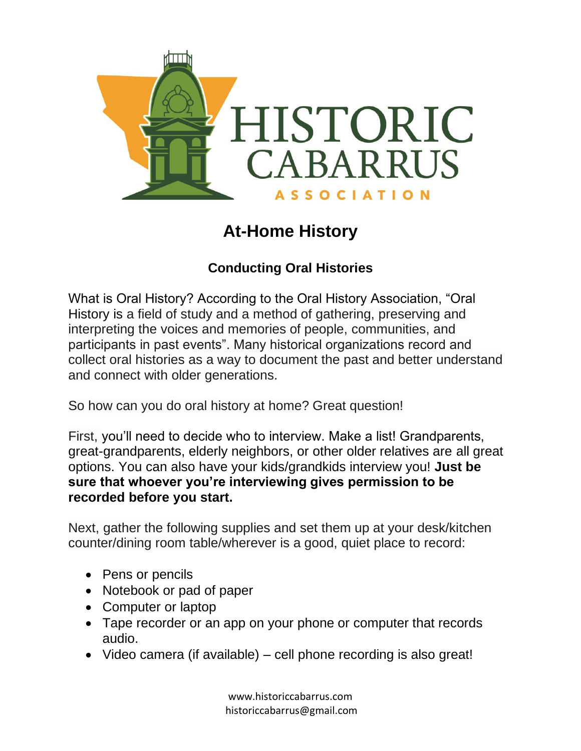

# **At-Home History**

# **Conducting Oral Histories**

What is Oral History? According to the Oral History Association, "Oral History is a field of study and a method of gathering, preserving and interpreting the voices and memories of people, communities, and participants in past events". Many historical organizations record and collect oral histories as a way to document the past and better understand and connect with older generations.

So how can you do oral history at home? Great question!

First, you'll need to decide who to interview. Make a list! Grandparents, great-grandparents, elderly neighbors, or other older relatives are all great options. You can also have your kids/grandkids interview you! **Just be sure that whoever you're interviewing gives permission to be recorded before you start.**

Next, gather the following supplies and set them up at your desk/kitchen counter/dining room table/wherever is a good, quiet place to record:

- Pens or pencils
- Notebook or pad of paper
- Computer or laptop
- Tape recorder or an app on your phone or computer that records audio.
- Video camera (if available) cell phone recording is also great!

www.historiccabarrus.com historiccabarrus@gmail.com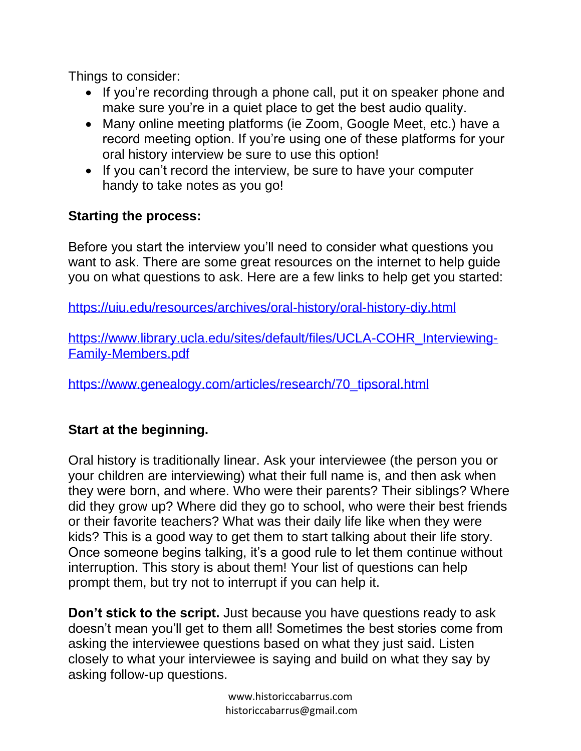Things to consider:

- If you're recording through a phone call, put it on speaker phone and make sure you're in a quiet place to get the best audio quality.
- Many online meeting platforms (ie Zoom, Google Meet, etc.) have a record meeting option. If you're using one of these platforms for your oral history interview be sure to use this option!
- If you can't record the interview, be sure to have your computer handy to take notes as you go!

## **Starting the process:**

Before you start the interview you'll need to consider what questions you want to ask. There are some great resources on the internet to help guide you on what questions to ask. Here are a few links to help get you started:

<https://uiu.edu/resources/archives/oral-history/oral-history-diy.html>

[https://www.library.ucla.edu/sites/default/files/UCLA-COHR\\_Interviewing-](https://www.library.ucla.edu/sites/default/files/UCLA-COHR_Interviewing-Family-Members.pdf)[Family-Members.pdf](https://www.library.ucla.edu/sites/default/files/UCLA-COHR_Interviewing-Family-Members.pdf)

[https://www.genealogy.com/articles/research/70\\_tipsoral.html](https://www.genealogy.com/articles/research/70_tipsoral.html)

### **Start at the beginning.**

Oral history is traditionally linear. Ask your interviewee (the person you or your children are interviewing) what their full name is, and then ask when they were born, and where. Who were their parents? Their siblings? Where did they grow up? Where did they go to school, who were their best friends or their favorite teachers? What was their daily life like when they were kids? This is a good way to get them to start talking about their life story. Once someone begins talking, it's a good rule to let them continue without interruption. This story is about them! Your list of questions can help prompt them, but try not to interrupt if you can help it.

**Don't stick to the script.** Just because you have questions ready to ask doesn't mean you'll get to them all! Sometimes the best stories come from asking the interviewee questions based on what they just said. Listen closely to what your interviewee is saying and build on what they say by asking follow-up questions.

> www.historiccabarrus.com historiccabarrus@gmail.com